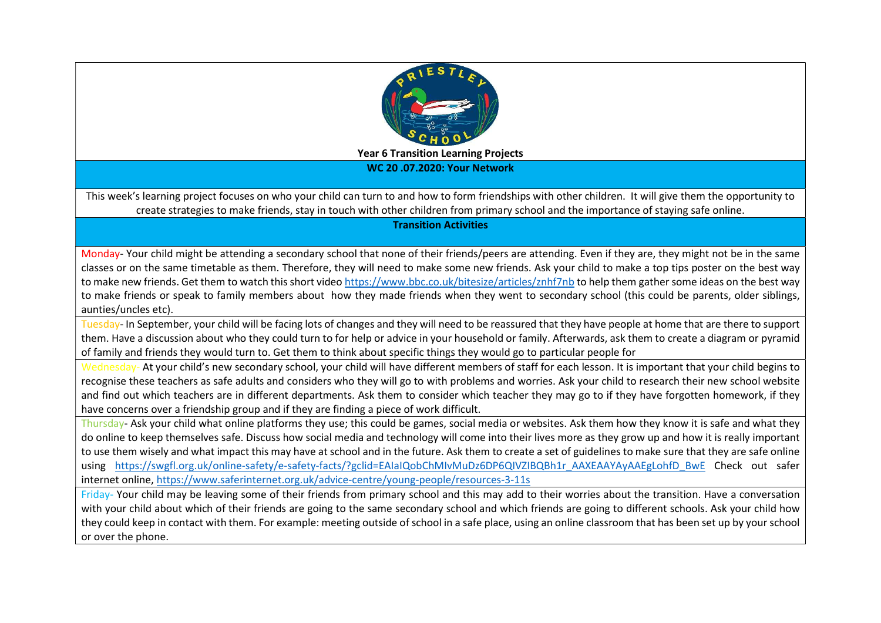

WC 20 .07.2020: Your Network

This week's learning project focuses on who your child can turn to and how to form friendships with other children. It will give them the opportunity to create strategies to make friends, stay in touch with other children from primary school and the importance of staying safe online.

Transition Activities

Monday- Your child might be attending a secondary school that none of their friends/peers are attending. Even if they are, they might not be in the same classes or on the same timetable as them. Therefore, they will need to make some new friends. Ask your child to make a top tips poster on the best way to make new friends. Get them to watch this short video https://www.bbc.co.uk/bitesize/articles/znhf7nb to help them gather some ideas on the best way to make friends or speak to family members about how they made friends when they went to secondary school (this could be parents, older siblings, aunties/uncles etc).

Tuesday- In September, your child will be facing lots of changes and they will need to be reassured that they have people at home that are there to support them. Have a discussion about who they could turn to for help or advice in your household or family. Afterwards, ask them to create a diagram or pyramid of family and friends they would turn to. Get them to think about specific things they would go to particular people for

Wednesday- At your child's new secondary school, your child will have different members of staff for each lesson. It is important that your child begins to recognise these teachers as safe adults and considers who they will go to with problems and worries. Ask your child to research their new school website and find out which teachers are in different departments. Ask them to consider which teacher they may go to if they have forgotten homework, if they have concerns over a friendship group and if they are finding a piece of work difficult.

Thursday- Ask your child what online platforms they use; this could be games, social media or websites. Ask them how they know it is safe and what they do online to keep themselves safe. Discuss how social media and technology will come into their lives more as they grow up and how it is really important to use them wisely and what impact this may have at school and in the future. Ask them to create a set of guidelines to make sure that they are safe online using https://swgfl.org.uk/online-safety/e-safety-facts/?gclid=EAIaIQobChMIvMuDz6DP6QIVZIBQBh1r\_AAXEAAYAyAAEgLohfD\_BwE Check out safer internet online, https://www.saferinternet.org.uk/advice-centre/young-people/resources-3-11s

Friday- Your child may be leaving some of their friends from primary school and this may add to their worries about the transition. Have a conversation with your child about which of their friends are going to the same secondary school and which friends are going to different schools. Ask your child how they could keep in contact with them. For example: meeting outside of school in a safe place, using an online classroom that has been set up by your school or over the phone.